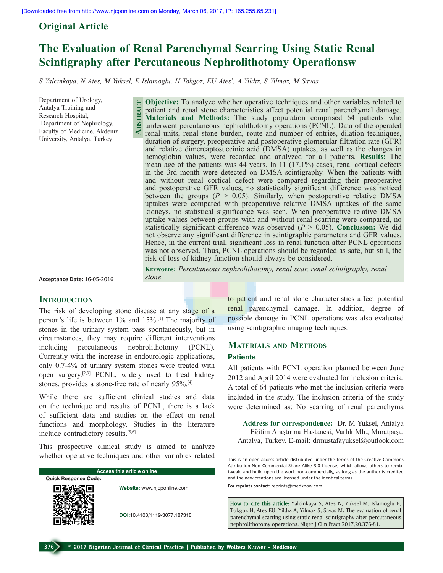# **Original Article**

# **The Evaluation of Renal Parenchymal Scarring Using Static Renal Scintigraphy after Percutaneous Nephrolithotomy Operationsw**

*S Yalcinkaya, N Ates, M Yuksel, E Islamoglu, H Tokgoz, EU Ates1 , A Yildız, S Yilmaz, M Savas* 

Department of Urology, Antalya Training and Research Hospital, 1 Department of Nephrology, Faculty of Medicine, Akdeniz University, Antalya, Turkey

**Objective:** To analyze whether operative techniques and other variables related to patient and renal stone characteristics affect potential renal parenchymal damage. **Materials and Methods:** The study population comprised 64 patients who underwent percutaneous nephrolithotomy operations (PCNL). Data of the operated renal units, renal stone burden, route and number of entries, dilation techniques, duration of surgery, preoperative and postoperative glomerular filtration rate (GFR) and relative dimercaptosuccinic acid (DMSA) uptakes, as well as the changes in hemoglobin values, were recorded and analyzed for all patients. **Results:** The mean age of the patients was 44 years. In 11 (17.1%) cases, renal cortical defects in the 3rd month were detected on DMSA scintigraphy. When the patients with and without renal cortical defect were compared regarding their preoperative and postoperative GFR values, no statistically significant difference was noticed between the groups  $(P > 0.05)$ . Similarly, when postoperative relative DMSA uptakes were compared with preoperative relative DMSA uptakes of the same kidneys, no statistical significance was seen. When preoperative relative DMSA uptake values between groups with and without renal scarring were compared, no statistically significant difference was observed (*P* > 0.05). **Conclusion:** We did not observe any significant difference in scintigraphic parameters and GFR values. Hence, in the current trial, significant loss in renal function after PCNL operations was not observed. Thus, PCNL operations should be regarded as safe, but still, the risk of loss of kidney function should always be considered. **Abstract**

**Keywords:** *Percutaneous nephrolithotomy, renal scar, renal scintigraphy, renal stone* 

**Acceptance Date:** 16-05-2016

### **INTRODUCTION**

The risk of developing stone disease at any stage of a person's life is between 1% and 15%.[1] The majority of stones in the urinary system pass spontaneously, but in circumstances, they may require different interventions including percutaneous nephrolithotomy (PCNL). Currently with the increase in endourologic applications, only 0.7-4% of urinary system stones were treated with open surgery.[2,3] PCNL, widely used to treat kidney stones, provides a stone-free rate of nearly 95%.[4]

While there are sufficient clinical studies and data on the technique and results of PCNL, there is a lack of sufficient data and studies on the effect on renal functions and morphology. Studies in the literature include contradictory results.[5,6]

This prospective clinical study is aimed to analyze whether operative techniques and other variables related

| Access this article online  |                              |  |  |
|-----------------------------|------------------------------|--|--|
| <b>Quick Response Code:</b> |                              |  |  |
|                             | Website: www.njcponline.com  |  |  |
|                             | DOI:10.4103/1119-3077.187318 |  |  |

to patient and renal stone characteristics affect potential renal parenchymal damage. In addition, degree of possible damage in PCNL operations was also evaluated using scintigraphic imaging techniques.

## **Materials and Methods Patients**

All patients with PCNL operation planned between June 2012 and April 2014 were evaluated for inclusion criteria. A total of 64 patients who met the inclusion criteria were included in the study. The inclusion criteria of the study were determined as: No scarring of renal parenchyma

**Address for correspondence:** Dr. M Yuksel, Antalya Eğitim Araştırma Hastanesi, Varlık Mh., Muratpaşa, Antalya, Turkey. E-mail: drmustafayuksel@outlook.com

This is an open access article distributed under the terms of the Creative Commons Attribution-Non Commercial-Share Alike 3.0 License, which allows others to remix, tweak, and build upon the work non-commercially, as long as the author is credited and the new creations are licensed under the identical terms.

**For reprints contact:** reprints@medknow.com

**How to cite this article:** Yalcinkaya S, Ates N, Yuksel M, Islamoglu E, Tokgoz H, Ates EU, Yildız A, Yilmaz S, Savas M. The evaluation of renal parenchymal scarring using static renal scintigraphy after percutaneous nephrolithotomy operations. Niger J Clin Pract 2017;20:376-81.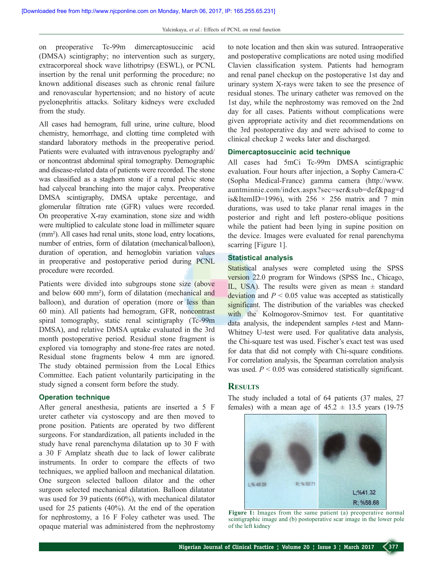on preoperative Tc-99m dimercaptosuccinic acid (DMSA) scintigraphy; no intervention such as surgery, extracorporeal shock wave lithotripsy (ESWL), or PCNL insertion by the renal unit performing the procedure; no known additional diseases such as chronic renal failure and renovascular hypertension; and no history of acute pyelonephritis attacks. Solitary kidneys were excluded from the study.

All cases had hemogram, full urine, urine culture, blood chemistry, hemorrhage, and clotting time completed with standard laboratory methods in the preoperative period. Patients were evaluated with intravenous pyelography and/ or noncontrast abdominal spiral tomography. Demographic and disease-related data of patients were recorded. The stone was classified as a staghorn stone if a renal pelvic stone had calyceal branching into the major calyx. Preoperative DMSA scintigraphy, DMSA uptake percentage, and glomerular filtration rate (GFR) values were recorded. On preoperative X-ray examination, stone size and width were multiplied to calculate stone load in millimeter square (mm²). All cases had renal units, stone load, entry locations, number of entries, form of dilatation (mechanical/balloon), duration of operation, and hemoglobin variation values in preoperative and postoperative period during PCNL procedure were recorded.

Patients were divided into subgroups stone size (above and below 600 mm²), form of dilatation (mechanical and balloon), and duration of operation (more or less than 60 min). All patients had hemogram, GFR, noncontrast spiral tomography, static renal scintigraphy (Tc-99m DMSA), and relative DMSA uptake evaluated in the 3rd month postoperative period. Residual stone fragment is explored via tomography and stone-free rates are noted. Residual stone fragments below 4 mm are ignored. The study obtained permission from the Local Ethics Committee. Each patient voluntarily participating in the study signed a consent form before the study.

### **Operation technique**

After general anesthesia, patients are inserted a 5 F ureter catheter via cystoscopy and are then moved to prone position. Patients are operated by two different surgeons. For standardization, all patients included in the study have renal parenchyma dilatation up to 30 F with a 30 F Amplatz sheath due to lack of lower calibrate instruments. In order to compare the effects of two techniques, we applied balloon and mechanical dilatation. One surgeon selected balloon dilator and the other surgeon selected mechanical dilatation. Balloon dilatator was used for 39 patients (60%), with mechanical dilatator used for 25 patients (40%). At the end of the operation for nephrostomy, a 16 F Foley catheter was used. The opaque material was administered from the nephrostomy to note location and then skin was sutured. Intraoperative and postoperative complications are noted using modified Clavien classification system. Patients had hemogram and renal panel checkup on the postoperative 1st day and urinary system X-rays were taken to see the presence of residual stones. The urinary catheter was removed on the 1st day, while the nephrostomy was removed on the 2nd day for all cases. Patients without complications were given appropriate activity and diet recommendations on the 3rd postoperative day and were advised to come to clinical checkup 2 weeks later and discharged.

### **Dimercaptosuccinic acid technique**

All cases had 5mCi Tc-99m DMSA scintigraphic evaluation. Four hours after injection, a Sophy Camera-C (Sopha Medical-France) gamma camera (http://www. auntminnie.com/index.aspx?sec=ser&sub=def&pag=d is&ItemID=1996), with  $256 \times 256$  matrix and 7 min durations, was used to take planar renal images in the posterior and right and left postero-oblique positions while the patient had been lying in supine position on the device. Images were evaluated for renal parenchyma scarring [Figure 1].

### **Statistical analysis**

Statistical analyses were completed using the SPSS version 22.0 program for Windows (SPSS Inc., Chicago, IL, USA). The results were given as mean  $\pm$  standard deviation and  $P \leq 0.05$  value was accepted as statistically significant. The distribution of the variables was checked with the Kolmogorov-Smirnov test. For quantitative data analysis, the independent samples *t*-test and Mann-Whitney U-test were used. For qualitative data analysis, the Chi-square test was used. Fischer's exact test was used for data that did not comply with Chi-square conditions. For correlation analysis, the Spearman correlation analysis was used.  $P < 0.05$  was considered statistically significant.

### **Results**

The study included a total of 64 patients (37 males, 27 females) with a mean age of  $45.2 \pm 13.5$  years (19-75)



**Figure 1:** Images from the same patient (a) preoperative normal scintigraphic image and (b) postoperative scar image in the lower pole of the left kidney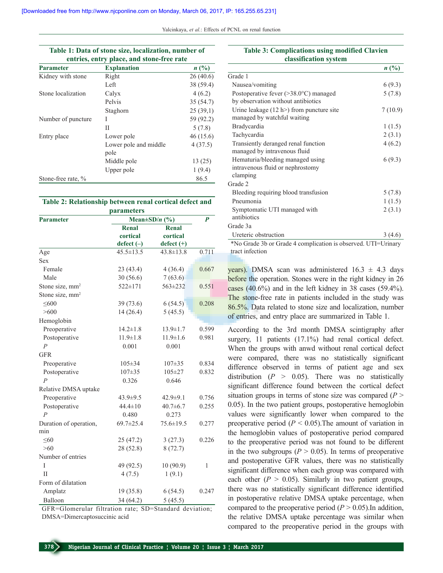Yalcinkaya, et al.: Effects of PCNL on renal function

| Table 1: Data of stone size, localization, number of<br>entries, entry place, and stone-free rate |                               |                |  |  |
|---------------------------------------------------------------------------------------------------|-------------------------------|----------------|--|--|
| <b>Parameter</b>                                                                                  | <b>Explanation</b>            | $n(^{0}/_{0})$ |  |  |
| Kidney with stone                                                                                 | Right                         | 26(40.6)       |  |  |
|                                                                                                   | Left                          | 38 (59.4)      |  |  |
| Stone localization                                                                                | Calyx                         | 4(6.2)         |  |  |
|                                                                                                   | Pelvis                        | 35(54.7)       |  |  |
|                                                                                                   | Staghorn                      | 25(39,1)       |  |  |
| Number of puncture                                                                                | Ι                             | 59 (92.2)      |  |  |
|                                                                                                   | Н                             | 5(7.8)         |  |  |
| Entry place                                                                                       | Lower pole                    | 46 (15.6)      |  |  |
|                                                                                                   | Lower pole and middle<br>pole | 4(37.5)        |  |  |
|                                                                                                   | Middle pole                   | 13 (25)        |  |  |
|                                                                                                   | Upper pole                    | 1(9.4)         |  |  |
| Stone-free rate, %                                                                                |                               | 86.5           |  |  |

#### **Table 2: Relationship between renal cortical defect and parameters**

| <b>Parameter</b>            | раганісісі э<br>Mean $\pm$ SD/ <i>n</i> (%) |                 | $\boldsymbol{P}$ |
|-----------------------------|---------------------------------------------|-----------------|------------------|
|                             | <b>Renal</b>                                | <b>Renal</b>    |                  |
|                             | cortical                                    | cortical        |                  |
|                             | $defect (-)$                                | $defect (+)$    |                  |
| Age                         | $45.5 \pm 13.5$                             | $43.8 \pm 13.8$ | 0.711            |
| <b>Sex</b>                  |                                             |                 |                  |
| Female                      | 23(43.4)                                    | 4(36.4)         | 0.667            |
| Male                        | 30(56.6)                                    | 7(63.6)         |                  |
| Stone size, mm <sup>2</sup> | 522±171                                     | 563±232         | 0.551            |
| Stone size, mm <sup>2</sup> |                                             |                 |                  |
| $\leq 600$                  | 39(73.6)                                    | 6(54.5)         | 0.208            |
| >600                        | 14(26.4)                                    | 5(45.5)         |                  |
| Hemoglobin                  |                                             |                 |                  |
| Preoperative                | $14.2 \pm 1.8$                              | $13.9 \pm 1.7$  | 0.599            |
| Postoperative               | $11.9 \pm 1.8$                              | $11.9 \pm 1.6$  | 0.981            |
| $\overline{P}$              | 0.001                                       | 0.001           |                  |
| <b>GFR</b>                  |                                             |                 |                  |
| Preoperative                | $105 \pm 34$                                | $107 + 35$      | 0.834            |
| Postoperative               | 107±35                                      | $105 \pm 27$    | 0.832            |
| $\overline{P}$              | 0.326                                       | 0.646           |                  |
| Relative DMSA uptake        |                                             |                 |                  |
| Preoperative                | $43.9 \pm 9.5$                              | $42.9 \pm 9.1$  | 0.756            |
| Postoperative               | $44.4 \pm 10$                               | $40.7 \pm 6.7$  | 0.255            |
| $\overline{P}$              | 0.480                                       | 0.273           |                  |
| Duration of operation,      | $69.7 \pm 25.4$                             | $75.6 \pm 19.5$ | 0.277            |
| min                         |                                             |                 |                  |
| < 60                        | 25(47.2)                                    | 3(27.3)         | 0.226            |
| >60                         | 28 (52.8)                                   | 8(72.7)         |                  |
| Number of entries           |                                             |                 |                  |
| Ī                           | 49 (92.5)                                   | 10 (90.9)       | 1                |
| $\mathbf{H}$                | 4(7.5)                                      | 1(9.1)          |                  |
| Form of dilatation          |                                             |                 |                  |
| Amplatz                     | 19 (35.8)                                   | 6(54.5)         | 0.247            |
| Balloon                     | 34 (64.2)                                   | 5(45.5)         |                  |

GFR=Glomerular filtration rate; SD=Standard deviation; DMSA=Dimercaptosuccinic acid

### **Table 3: Complications using modified Clavien classification system**

|                                                                                      | $n(^{0}/_{0})$ |
|--------------------------------------------------------------------------------------|----------------|
| Grade 1                                                                              |                |
| Nausea/vomiting                                                                      | 6(9.3)         |
| Postoperative fever $(>38.0^{\circ}C)$ managed<br>by observation without antibiotics | 5(7.8)         |
| Urine leakage $(12 h$ ) from puncture site<br>managed by watchful waiting            | 7(10.9)        |
| Bradycardia                                                                          | 1(1.5)         |
| Tachycardia                                                                          | 2(3.1)         |
| Transiently deranged renal function<br>managed by intravenous fluid                  | 4(6.2)         |
| Hematuria/bleeding managed using<br>intravenous fluid or nephrostomy<br>clamping     | 6(9.3)         |
| Grade 2                                                                              |                |
| Bleeding requiring blood transfusion                                                 | 5(7.8)         |
| Pneumonia                                                                            | 1(1.5)         |
| Symptomatic UTI managed with<br>antibiotics                                          | 2(3.1)         |
| Grade 3a                                                                             |                |
| Ureteric obstruction                                                                 | 3(4.6)         |
| *No Grade 3b or Grade 4 complication is observed. UTI=Urinary                        |                |

tract infection

years). DMSA scan was administered  $16.3 \pm 4.3$  days before the operation. Stones were in the right kidney in 26 cases (40.6%) and in the left kidney in 38 cases (59.4%). The stone-free rate in patients included in the study was 86.5%. Data related to stone size and localization, number of entries, and entry place are summarized in Table 1.

According to the 3rd month DMSA scintigraphy after surgery, 11 patients (17.1%) had renal cortical defect. When the groups with anwd without renal cortical defect were compared, there was no statistically significant difference observed in terms of patient age and sex distribution  $(P > 0.05)$ . There was no statistically significant difference found between the cortical defect situation groups in terms of stone size was compared  $(P >$ 0.05). In the two patient groups, postoperative hemoglobin values were significantly lower when compared to the preoperative period  $(P < 0.05)$ . The amount of variation in the hemoglobin values of postoperative period compared to the preoperative period was not found to be different in the two subgroups ( $P > 0.05$ ). In terms of preoperative and postoperative GFR values, there was no statistically significant difference when each group was compared with each other  $(P > 0.05)$ . Similarly in two patient groups, there was no statistically significant difference identified in postoperative relative DMSA uptake percentage, when compared to the preoperative period  $(P > 0.05)$ . In addition, the relative DMSA uptake percentage was similar when compared to the preoperative period in the groups with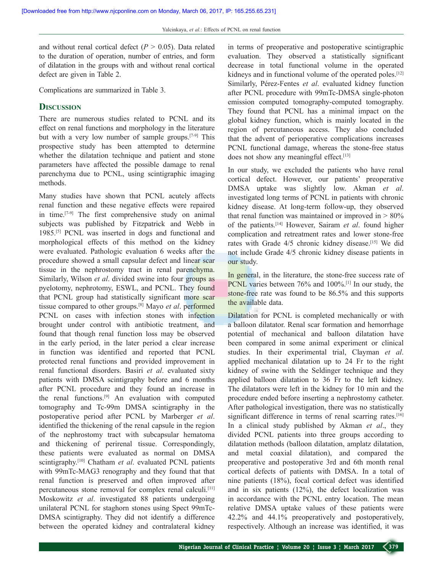and without renal cortical defect  $(P > 0.05)$ . Data related to the duration of operation, number of entries, and form of dilatation in the groups with and without renal cortical defect are given in Table 2.

Complications are summarized in Table 3.

## **Discussion**

There are numerous studies related to PCNL and its effect on renal functions and morphology in the literature but with a very low number of sample groups.[7-9] This prospective study has been attempted to determine whether the dilatation technique and patient and stone parameters have affected the possible damage to renal parenchyma due to PCNL, using scintigraphic imaging methods.

Many studies have shown that PCNL acutely affects renal function and these negative effects were repaired in time.[7-9] The first comprehensive study on animal subjects was published by Fitzpatrick and Webb in 1985.[5] PCNL was inserted in dogs and functional and morphological effects of this method on the kidney were evaluated. Pathologic evaluation 6 weeks after the procedure showed a small capsular defect and linear scar tissue in the nephrostomy tract in renal parenchyma. Similarly, Wilson *et al.* divided swine into four groups as pyelotomy, nephrotomy, ESWL, and PCNL. They found that PCNL group had statistically significant more scar tissue compared to other groups.[8] Mayo *et al*. performed PCNL on cases with infection stones with infection brought under control with antibiotic treatment, and found that though renal function loss may be observed in the early period, in the later period a clear increase in function was identified and reported that PCNL protected renal functions and provided improvement in renal functional disorders. Basiri *et al*. evaluated sixty patients with DMSA scintigraphy before and 6 months after PCNL procedure and they found an increase in the renal functions.<sup>[9]</sup> An evaluation with computed tomography and Tc-99m DMSA scintigraphy in the postoperative period after PCNL by Marberger *et al*. identified the thickening of the renal capsule in the region of the nephrostomy tract with subcapsular hematoma and thickening of perirenal tissue. Correspondingly, these patients were evaluated as normal on DMSA scintigraphy.[10] Chatham *et al*. evaluated PCNL patients with 99mTc-MAG3 renography and they found that that renal function is preserved and often improved after percutaneous stone removal for complex renal calculi.[11] Moskowitz *et al*. investigated 88 patients undergoing unilateral PCNL for staghorn stones using Spect 99mTc-DMSA scintigraphy. They did not identify a difference between the operated kidney and contralateral kidney in terms of preoperative and postoperative scintigraphic evaluation. They observed a statistically significant decrease in total functional volume in the operated kidneys and in functional volume of the operated poles.<sup>[12]</sup> Similarly, Pérez-Fentes *et al*. evaluated kidney function after PCNL procedure with 99mTc-DMSA single-photon emission computed tomography-computed tomography. They found that PCNL has a minimal impact on the global kidney function, which is mainly located in the region of percutaneous access. They also concluded that the advent of perioperative complications increases PCNL functional damage, whereas the stone-free status does not show any meaningful effect.<sup>[13]</sup>

In our study, we excluded the patients who have renal cortical defect. However, our patients' preoperative DMSA uptake was slightly low. Akman *et al*. investigated long terms of PCNL in patients with chronic kidney disease. At long-term follow-up, they observed that renal function was maintained or improved in  $> 80\%$ of the patients.[14] However, Sairam *et al*. found higher complication and retreatment rates and lower stone-free rates with Grade 4/5 chronic kidney disease.<sup>[15]</sup> We did not include Grade 4/5 chronic kidney disease patients in our study.

In general, in the literature, the stone-free success rate of PCNL varies between 76% and 100%.<sup>[1]</sup> In our study, the stone-free rate was found to be 86.5% and this supports the available data.

Dilatation for PCNL is completed mechanically or with a balloon dilatator. Renal scar formation and hemorrhage potential of mechanical and balloon dilatation have been compared in some animal experiment or clinical studies. In their experimental trial, Clayman *et al*. applied mechanical dilatation up to 24 Fr to the right kidney of swine with the Seldinger technique and they applied balloon dilatation to 36 Fr to the left kidney. The dilatators were left in the kidney for 10 min and the procedure ended before inserting a nephrostomy catheter. After pathological investigation, there was no statistically significant difference in terms of renal scarring rates.<sup>[16]</sup> In a clinical study published by Akman *et al*., they divided PCNL patients into three groups according to dilatation methods (balloon dilatation, amplatz dilatation, and metal coaxial dilatation), and compared the preoperative and postoperative 3rd and 6th month renal cortical defects of patients with DMSA. In a total of nine patients (18%), focal cortical defect was identified and in six patients (12%), the defect localization was in accordance with the PCNL entry location. The mean relative DMSA uptake values of these patients were 42.2% and 44.1% preoperatively and postoperatively, respectively. Although an increase was identified, it was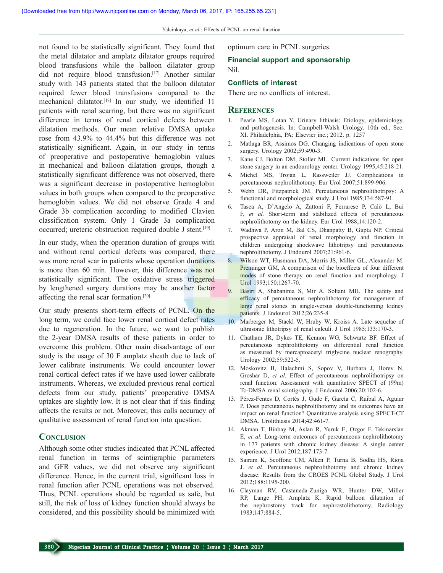Nil.

not found to be statistically significant. They found that the metal dilatator and amplatz dilatator groups required blood transfusions while the balloon dilatator group did not require blood transfusion.[17] Another similar study with 143 patients stated that the balloon dilatator required fewer blood transfusions compared to the mechanical dilatator.[18] In our study, we identified 11 patients with renal scarring, but there was no significant difference in terms of renal cortical defects between dilatation methods. Our mean relative DMSA uptake rose from 43.9% to 44.4% but this difference was not statistically significant. Again, in our study in terms of preoperative and postoperative hemoglobin values in mechanical and balloon dilatation groups, though a statistically significant difference was not observed, there was a significant decrease in postoperative hemoglobin values in both groups when compared to the preoperative hemoglobin values. We did not observe Grade 4 and Grade 3b complication according to modified Clavien classification system. Only 1 Grade 3a complication occurred; ureteric obstruction required double J stent.[19]

In our study, when the operation duration of groups with and without renal cortical defects was compared, there was more renal scar in patients whose operation durations is more than 60 min. However, this difference was not statistically significant. The oxidative stress triggered by lengthened surgery durations may be another factor affecting the renal scar formation.[20]

Our study presents short-term effects of PCNL. On the long term, we could face lower renal cortical defect rates due to regeneration. In the future, we want to publish the 2-year DMSA results of these patients in order to overcome this problem. Other main disadvantage of our study is the usage of 30 F amplatz sheath due to lack of lower calibrate instruments. We could encounter lower renal cortical defect rates if we have used lower calibrate instruments. Whereas, we excluded previous renal cortical defects from our study, patients' preoperative DMSA uptakes are slightly low. It is not clear that if this finding affects the results or not. Moreover, this calls accuracy of qualitative assessment of renal function into question.

### **Conclusion**

Although some other studies indicated that PCNL affected renal function in terms of scintigraphic parameters and GFR values, we did not observe any significant difference. Hence, in the current trial, significant loss in renal function after PCNL operations was not observed. Thus, PCNL operations should be regarded as safe, but still, the risk of loss of kidney function should always be considered, and this possibility should be minimized with

optimum care in PCNL surgeries.

# **Financial support and sponsorship**

# **Conflicts of interest**

There are no conflicts of interest.

#### **References**

- 1. Pearle MS, Lotan Y. Urinary lithiasis: Etiology, epidemiology, and pathogenesis. In: Campbell-Walsh Urology. 10th ed., Sec. XI. Philadelphia, PA: Elsevier inc.; 2012. p. 1257
- 2. Matlaga BR, Assimos DG. Changing indications of open stone surgery. Urology 2002;59:490-3.
- 3. Kane CJ, Bolton DM, Stoller ML. Current indications for open stone surgery in an endourology center. Urology 1995;45:218-21.
- 4. Michel MS, Trojan L, Rassweiler JJ. Complications in percutaneous nephrolithotomy. Eur Urol 2007;51:899-906.
- 5. Webb DR, Fitzpatrick JM. Percutaneous nephrolithotripsy: A functional and morphological study. J Urol 1985;134:587-91.
- 6. Tasca A, D'Angelo A, Zattoni F, Ferrarese P, Calò L, Bui F, *et al.* Short-term and stabilized effects of percutaneous nephrolithotomy on the kidney. Eur Urol 1988;14:120-2.
- 7. Wadhwa P, Aron M, Bal CS, Dhanpatty B, Gupta NP. Critical prospective appraisal of renal morphology and function in children undergoing shockwave lithotripsy and percutaneous nephrolithotomy. J Endourol 2007;21:961-6.
- 8. Wilson WT, Husmann DA, Morris JS, Miller GL, Alexander M. Preminger GM, A comparison of the bioeffects of four different modes of stone therapy on renal function and morphology. J Urol 1993;150:1267-70.
- 9. Basiri A, Shabaninia S, Mir A, Soltani MH. The safety and efficacy of percutaneous nephrolithotomy for management of large renal stones in single-versus double-functioning kidney patients. J Endourol 2012;26:235-8.
- 10. Marberger M, Stackl W, Hruby W, Kroiss A. Late sequelae of ultrasonic lithotripsy of renal calculi. J Urol 1985;133:170-3.
- 11. Chatham JR, Dykes TE, Kennon WG, Schwartz BF. Effect of percutaneous nephrolithotomy on differential renal function as measured by mercaptoacetyl triglycine nuclear renography. Urology 2002;59:522-5.
- 12. Moskovitz B, Halachmi S, Sopov V, Burbara J, Horev N, Groshar D, *et al.* Effect of percutaneous nephrolithotripsy on renal function: Assessment with quantitative SPECT of (99m) Tc-DMSA renal scintigraphy. J Endourol 2006;20:102-6.
- 13. Pérez-Fentes D, Cortés J, Gude F, García C, Ruibal A, Aguiar P. Does percutaneous nephrolithotomy and its outcomes have an impact on renal function? Quantitative analysis using SPECT-CT DMSA. Urolithiasis 2014;42:461-7.
- 14. Akman T, Binbay M, Aslan R, Yuruk E, Ozgor F. Tekinarslan E, *et al.* Long-term outcomes of percutaneous nephrolithotomy in 177 patients with chronic kidney disease: A single center experience. J Urol 2012;187:173-7.
- 15. Sairam K, Scoffone CM, Alken P, Turna B, Sodha HS, Rioja J. *et al.* Percutaneous nephrolithotomy and chronic kidney disease: Results from the CROES PCNL Global Study. J Urol 2012;188:1195-200.
- 16. Clayman RV, Castaneda-Zuniga WR, Hunter DW, Miller RP, Lange PH, Amplatz K. Rapid balloon dilatation of the nephrostomy track for nephrostolithotomy. Radiology 1983;147:884-5.